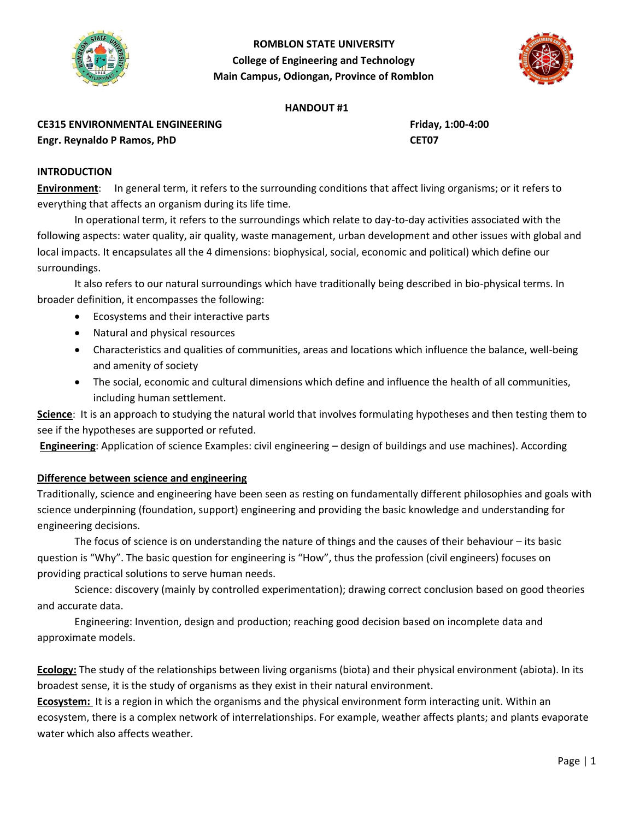



#### **HANDOUT #1**

**CE315 ENVIRONMENTAL ENGINEERING Friday, 1:00-4:00 Engr. Reynaldo P Ramos, PhD CET07**

## **INTRODUCTION**

**Environment**: In general term, it refers to the surrounding conditions that affect living organisms; or it refers to everything that affects an organism during its life time.

In operational term, it refers to the surroundings which relate to day-to-day activities associated with the following aspects: water quality, air quality, waste management, urban development and other issues with global and local impacts. It encapsulates all the 4 dimensions: biophysical, social, economic and political) which define our surroundings.

It also refers to our natural surroundings which have traditionally being described in bio-physical terms. In broader definition, it encompasses the following:

- Ecosystems and their interactive parts
- Natural and physical resources
- Characteristics and qualities of communities, areas and locations which influence the balance, well-being and amenity of society
- The social, economic and cultural dimensions which define and influence the health of all communities, including human settlement.

**Science**: It is an approach to studying the natural world that involves formulating hypotheses and then testing them to see if the hypotheses are supported or refuted.

**Engineering**: Application of science Examples: civil engineering – design of buildings and use machines). According

## **Difference between science and engineering**

Traditionally, science and engineering have been seen as resting on fundamentally different philosophies and goals with science underpinning (foundation, support) engineering and providing the basic knowledge and understanding for engineering decisions.

The focus of science is on understanding the nature of things and the causes of their behaviour – its basic question is "Why". The basic question for engineering is "How", thus the profession (civil engineers) focuses on providing practical solutions to serve human needs.

Science: discovery (mainly by controlled experimentation); drawing correct conclusion based on good theories and accurate data.

Engineering: Invention, design and production; reaching good decision based on incomplete data and approximate models.

**Ecology:** The study of the relationships between living organisms (biota) and their physical environment (abiota). In its broadest sense, it is the study of organisms as they exist in their natural environment.

**Ecosystem:** It is a region in which the organisms and the physical environment form interacting unit. Within an ecosystem, there is a complex network of interrelationships. For example, weather affects plants; and plants evaporate water which also affects weather.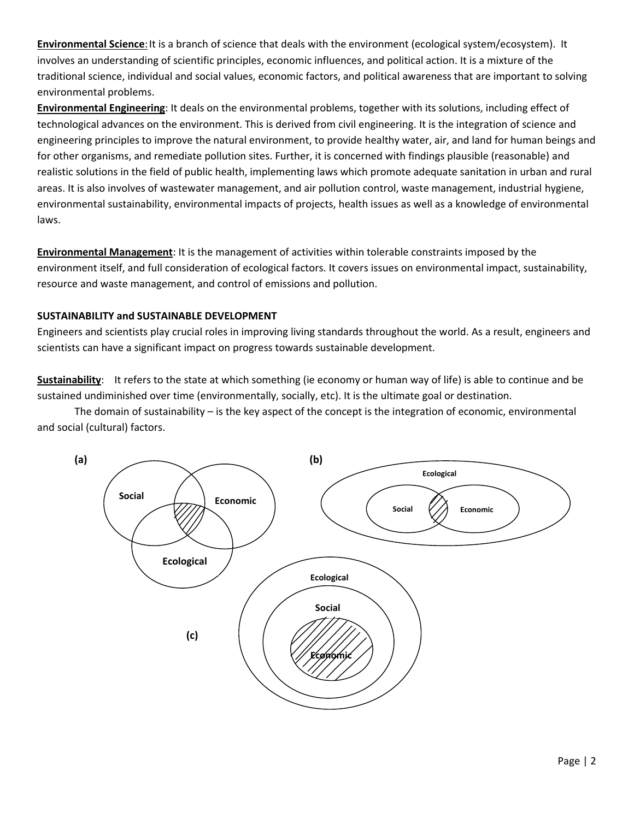**Environmental Science**:It is a branch of science that deals with the environment (ecological system/ecosystem). It involves an understanding of scientific principles, economic influences, and political action. It is a mixture of the traditional science, individual and social values, economic factors, and political awareness that are important to solving environmental problems.

**Environmental Engineering**: It deals on the environmental problems, together with its solutions, including effect of technological advances on the environment. This is derived from civil engineering. It is the integration of science and engineering principles to improve the natural environment, to provide healthy water, air, and land for human beings and for other organisms, and remediate pollution sites. Further, it is concerned with findings plausible (reasonable) and realistic solutions in the field of public health, implementing laws which promote adequate sanitation in urban and rural areas. It is also involves of wastewater management, and air pollution control, waste management, industrial hygiene, environmental sustainability, environmental impacts of projects, health issues as well as a knowledge of environmental laws.

**Environmental Management**: It is the management of activities within tolerable constraints imposed by the environment itself, and full consideration of ecological factors. It covers issues on environmental impact, sustainability, resource and waste management, and control of emissions and pollution.

### **SUSTAINABILITY and SUSTAINABLE DEVELOPMENT**

Engineers and scientists play crucial roles in improving living standards throughout the world. As a result, engineers and scientists can have a significant impact on progress towards sustainable development.

**Sustainability**: It refers to the state at which something (ie economy or human way of life) is able to continue and be sustained undiminished over time (environmentally, socially, etc). It is the ultimate goal or destination.

The domain of sustainability – is the key aspect of the concept is the integration of economic, environmental and social (cultural) factors.

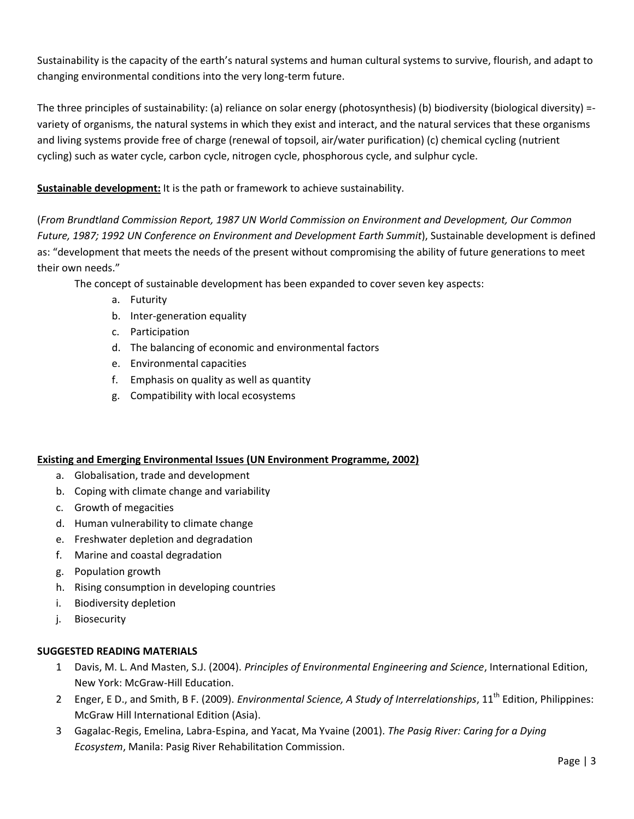Sustainability is the capacity of the earth's natural systems and human cultural systems to survive, flourish, and adapt to changing environmental conditions into the very long-term future.

The three principles of sustainability: (a) reliance on solar energy (photosynthesis) (b) biodiversity (biological diversity) = variety of organisms, the natural systems in which they exist and interact, and the natural services that these organisms and living systems provide free of charge (renewal of topsoil, air/water purification) (c) chemical cycling (nutrient cycling) such as water cycle, carbon cycle, nitrogen cycle, phosphorous cycle, and sulphur cycle.

**Sustainable development:** It is the path or framework to achieve sustainability.

(*From Brundtland Commission Report, 1987 UN World Commission on Environment and Development, Our Common Future, 1987; 1992 UN Conference on Environment and Development Earth Summit*), Sustainable development is defined as: "development that meets the needs of the present without compromising the ability of future generations to meet their own needs."

The concept of sustainable development has been expanded to cover seven key aspects:

- a. Futurity
- b. Inter-generation equality
- c. Participation
- d. The balancing of economic and environmental factors
- e. Environmental capacities
- f. Emphasis on quality as well as quantity
- g. Compatibility with local ecosystems

#### **Existing and Emerging Environmental Issues (UN Environment Programme, 2002)**

- a. Globalisation, trade and development
- b. Coping with climate change and variability
- c. Growth of megacities
- d. Human vulnerability to climate change
- e. Freshwater depletion and degradation
- f. Marine and coastal degradation
- g. Population growth
- h. Rising consumption in developing countries
- i. Biodiversity depletion
- j. Biosecurity

## **SUGGESTED READING MATERIALS**

- 1 Davis, M. L. And Masten, S.J. (2004). *Principles of Environmental Engineering and Science*, International Edition, New York: McGraw-Hill Education.
- 2 Enger, E D., and Smith, B F. (2009). *Environmental Science, A Study of Interrelationships*, 11th Edition, Philippines: McGraw Hill International Edition (Asia).
- 3 Gagalac-Regis, Emelina, Labra-Espina, and Yacat, Ma Yvaine (2001). *The Pasig River: Caring for a Dying Ecosystem*, Manila: Pasig River Rehabilitation Commission.